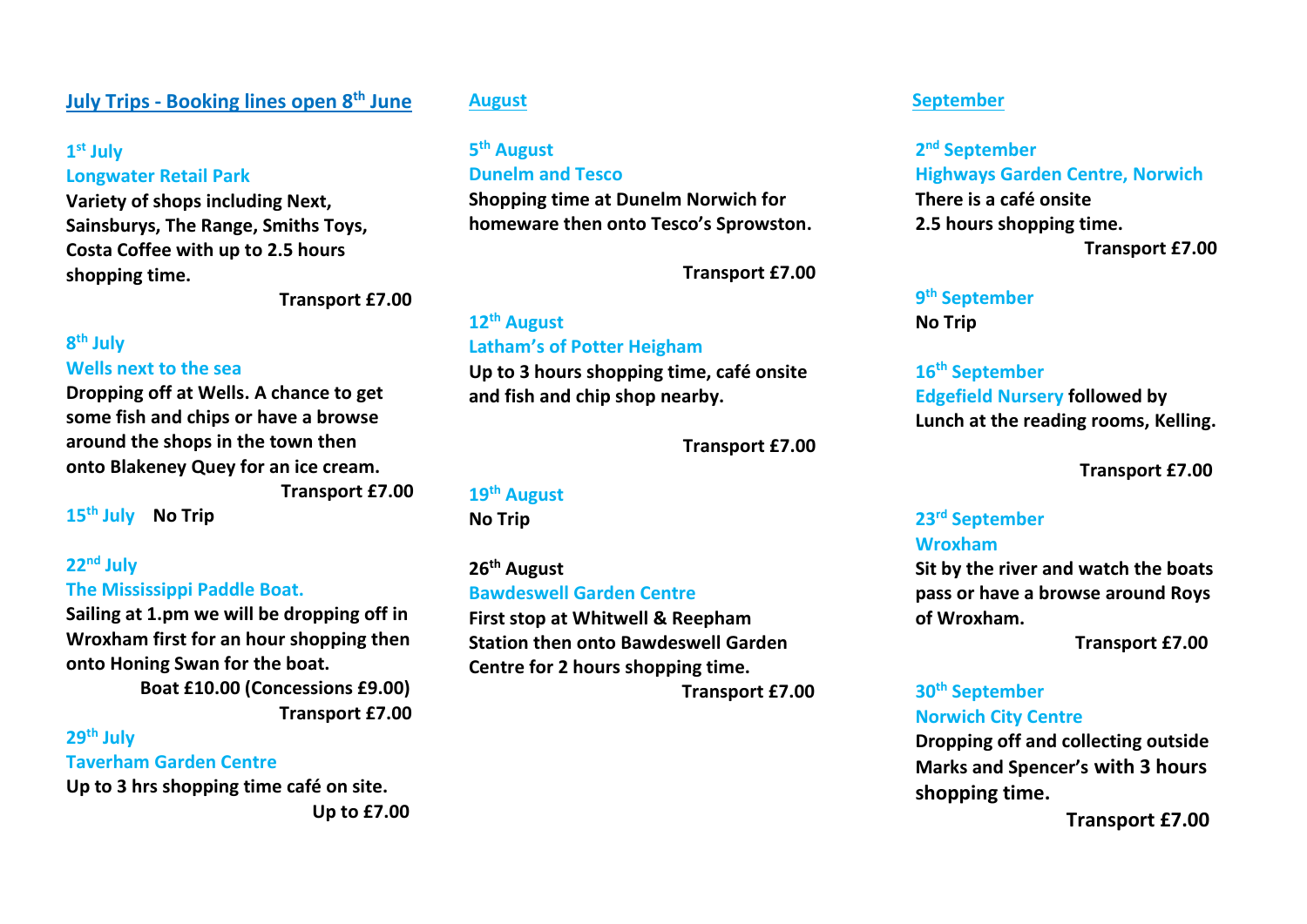## **July Trips - Booking lines open 8th June**

### **1 st July**

#### **Longwater Retail Park**

**Variety of shops including Next, Sainsburys, The Range, Smiths Toys, Costa Coffee with up to 2.5 hours shopping time.** 

**Transport £7.00**

#### **8 th July Wells next to the sea**

**Dropping off at Wells. A chance to get some fish and chips or have a browse around the shops in the town then onto Blakeney Quey for an ice cream.** 

**Transport £7.00** 

**15th July No Trip** 

### **22nd July The Mississippi Paddle Boat.**

**Sailing at 1.pm we will be dropping off in Wroxham first for an hour shopping then onto Honing Swan for the boat.**

 **Boat £10.00 (Concessions £9.00) Transport £7.00**

## **29th July**

#### **Taverham Garden Centre**

**Up to 3 hrs shopping time café on site. Up to £7.00**

#### **August**

## **5 th August**

#### **Dunelm and Tesco**

**Shopping time at Dunelm Norwich for homeware then onto Tesco's Sprowston.**

 **Transport £7.00**

# **12th August Latham's of Potter Heigham**

**Up to 3 hours shopping time, café onsite and fish and chip shop nearby.** 

 **Transport £7.00**

# **19th August**

**No Trip** 

### **26th August Bawdeswell Garden Centre**

**First stop at Whitwell & Reepham Station then onto Bawdeswell Garden Centre for 2 hours shopping time.**

 **Transport £7.00**

### **September**

**2 nd September Highways Garden Centre, Norwich There is a café onsite 2.5 hours shopping time. Transport £7.00**

### **9 th September**

**No Trip** 

# **16th September**

**Edgefield Nursery followed by Lunch at the reading rooms, Kelling.**

 **Transport £7.00**

#### **23rd September Wroxham**

**Sit by the river and watch the boats pass or have a browse around Roys of Wroxham.**

 **Transport £7.00**

### **30th September Norwich City Centre**

**Dropping off and collecting outside Marks and Spencer's with 3 hours shopping time.** 

 **Transport £7.00**